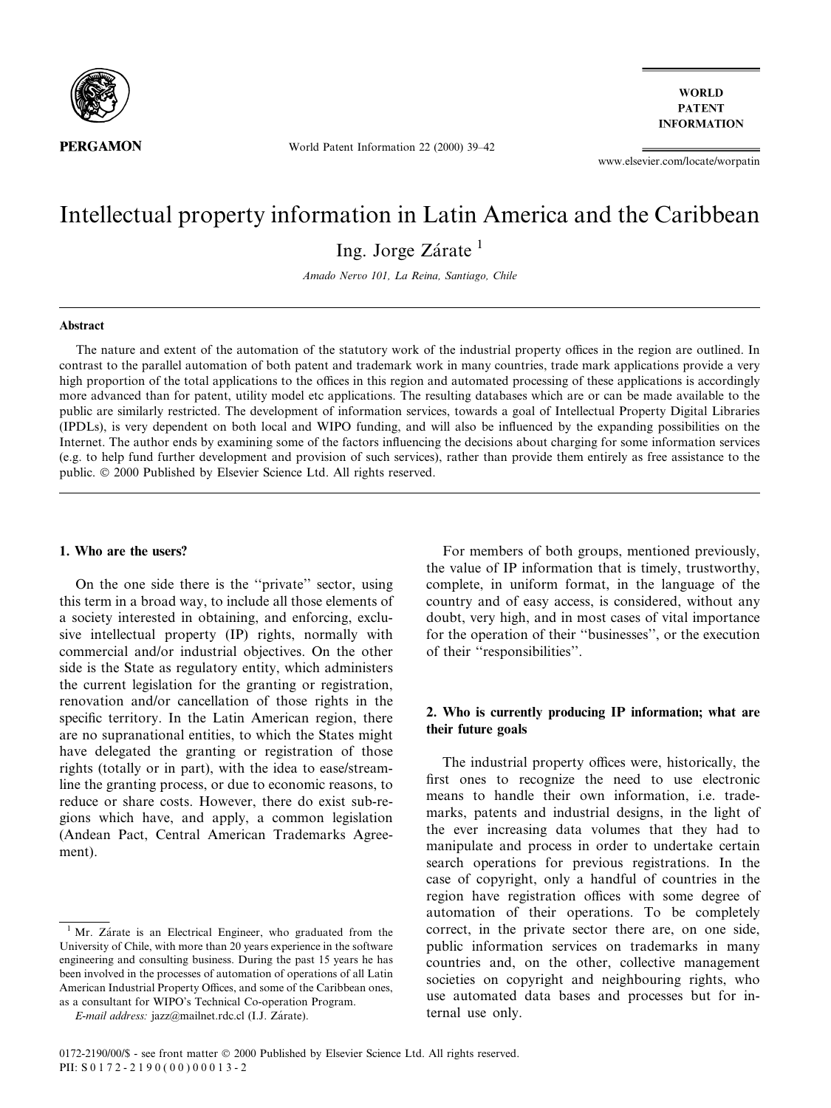

**WORLD PATENT INFORMATION** 

World Patent Information 22 (2000) 39-42

www.elsevier.com/locate/worpatin

# Intellectual property information in Latin America and the Caribbean

Ing. Jorge Zárate  $<sup>1</sup>$ </sup>

Amado Nervo 101, La Reina, Santiago, Chile

#### Abstract

The nature and extent of the automation of the statutory work of the industrial property offices in the region are outlined. In contrast to the parallel automation of both patent and trademark work in many countries, trade mark applications provide a very high proportion of the total applications to the offices in this region and automated processing of these applications is accordingly more advanced than for patent, utility model etc applications. The resulting databases which are or can be made available to the public are similarly restricted. The development of information services, towards a goal of Intellectual Property Digital Libraries (IPDLs), is very dependent on both local and WIPO funding, and will also be influenced by the expanding possibilities on the Internet. The author ends by examining some of the factors influencing the decisions about charging for some information services (e.g. to help fund further development and provision of such services), rather than provide them entirely as free assistance to the public. © 2000 Published by Elsevier Science Ltd. All rights reserved.

## 1. Who are the users?

On the one side there is the "private" sector, using this term in a broad way, to include all those elements of a society interested in obtaining, and enforcing, exclusive intellectual property (IP) rights, normally with commercial and/or industrial objectives. On the other side is the State as regulatory entity, which administers the current legislation for the granting or registration, renovation and/or cancellation of those rights in the specific territory. In the Latin American region, there are no supranational entities, to which the States might have delegated the granting or registration of those rights (totally or in part), with the idea to ease/streamline the granting process, or due to economic reasons, to reduce or share costs. However, there do exist sub-regions which have, and apply, a common legislation (Andean Pact, Central American Trademarks Agreement).

For members of both groups, mentioned previously, the value of IP information that is timely, trustworthy, complete, in uniform format, in the language of the country and of easy access, is considered, without any doubt, very high, and in most cases of vital importance for the operation of their "businesses", or the execution of their "responsibilities".

## 2. Who is currently producing IP information; what are their future goals

The industrial property offices were, historically, the first ones to recognize the need to use electronic means to handle their own information, i.e. trademarks, patents and industrial designs, in the light of the ever increasing data volumes that they had to manipulate and process in order to undertake certain search operations for previous registrations. In the case of copyright, only a handful of countries in the region have registration offices with some degree of automation of their operations. To be completely correct, in the private sector there are, on one side, public information services on trademarks in many countries and, on the other, collective management societies on copyright and neighbouring rights, who use automated data bases and processes but for internal use only.

 $1$  Mr. Zárate is an Electrical Engineer, who graduated from the University of Chile, with more than 20 years experience in the software engineering and consulting business. During the past 15 years he has been involved in the processes of automation of operations of all Latin American Industrial Property Offices, and some of the Caribbean ones, as a consultant for WIPO's Technical Co-operation Program.

E-mail address: jazz@mailnet.rdc.cl (I.J. Zárate).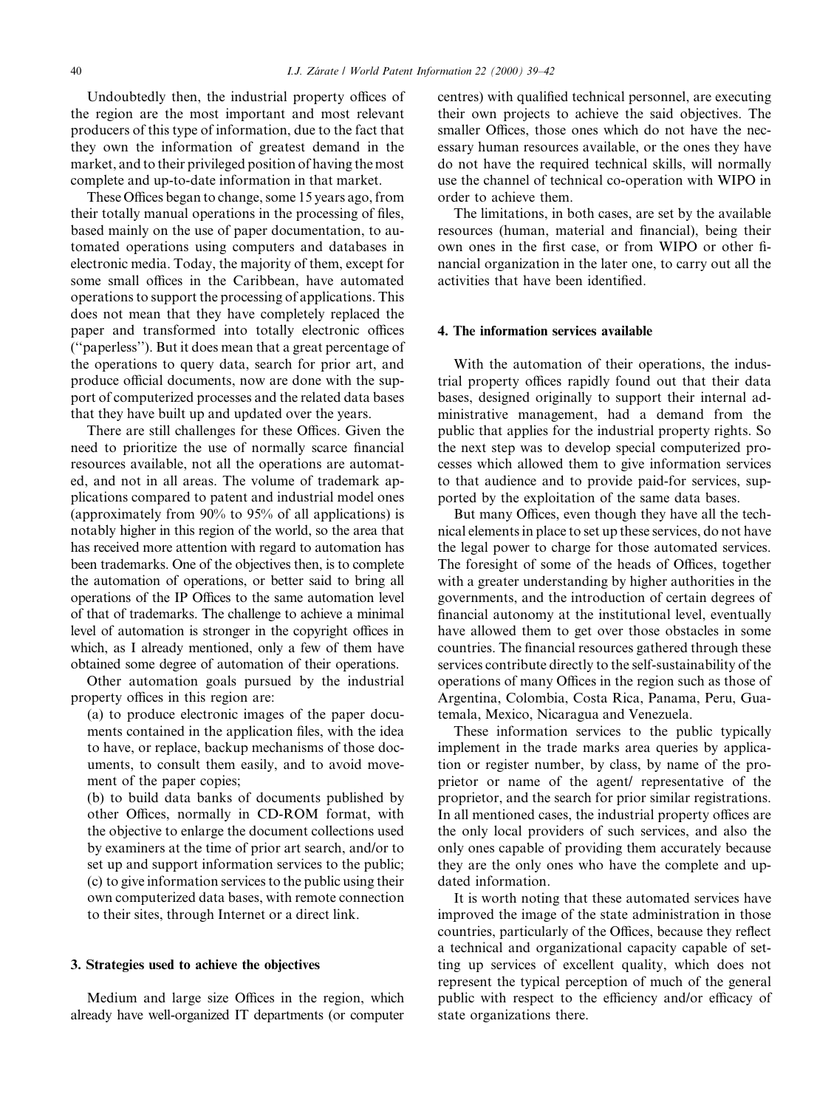Undoubtedly then, the industrial property offices of the region are the most important and most relevant producers of this type of information, due to the fact that they own the information of greatest demand in the market, and to their privileged position of having the most complete and up-to-date information in that market.

These Offices began to change, some 15 years ago, from their totally manual operations in the processing of files, based mainly on the use of paper documentation, to automated operations using computers and databases in electronic media. Today, the majority of them, except for some small offices in the Caribbean, have automated operations to support the processing of applications. This does not mean that they have completely replaced the paper and transformed into totally electronic offices (``paperless''). But it does mean that a great percentage of the operations to query data, search for prior art, and produce official documents, now are done with the support of computerized processes and the related data bases that they have built up and updated over the years.

There are still challenges for these Offices. Given the need to prioritize the use of normally scarce financial resources available, not all the operations are automated, and not in all areas. The volume of trademark applications compared to patent and industrial model ones (approximately from 90% to 95% of all applications) is notably higher in this region of the world, so the area that has received more attention with regard to automation has been trademarks. One of the objectives then, is to complete the automation of operations, or better said to bring all operations of the IP Offices to the same automation level of that of trademarks. The challenge to achieve a minimal level of automation is stronger in the copyright offices in which, as I already mentioned, only a few of them have obtained some degree of automation of their operations.

Other automation goals pursued by the industrial property offices in this region are:

(a) to produce electronic images of the paper documents contained in the application files, with the idea to have, or replace, backup mechanisms of those documents, to consult them easily, and to avoid movement of the paper copies;

(b) to build data banks of documents published by other Offices, normally in CD-ROM format, with the objective to enlarge the document collections used by examiners at the time of prior art search, and/or to set up and support information services to the public; (c) to give information services to the public using their own computerized data bases, with remote connection to their sites, through Internet or a direct link.

### 3. Strategies used to achieve the objectives

Medium and large size Offices in the region, which already have well-organized IT departments (or computer centres) with qualified technical personnel, are executing their own projects to achieve the said objectives. The smaller Offices, those ones which do not have the necessary human resources available, or the ones they have do not have the required technical skills, will normally use the channel of technical co-operation with WIPO in order to achieve them.

The limitations, in both cases, are set by the available resources (human, material and financial), being their own ones in the first case, or from WIPO or other financial organization in the later one, to carry out all the activities that have been identified.

### 4. The information services available

With the automation of their operations, the industrial property offices rapidly found out that their data bases, designed originally to support their internal administrative management, had a demand from the public that applies for the industrial property rights. So the next step was to develop special computerized processes which allowed them to give information services to that audience and to provide paid-for services, supported by the exploitation of the same data bases.

But many Offices, even though they have all the technical elements in place to set up these services, do not have the legal power to charge for those automated services. The foresight of some of the heads of Offices, together with a greater understanding by higher authorities in the governments, and the introduction of certain degrees of financial autonomy at the institutional level, eventually have allowed them to get over those obstacles in some countries. The financial resources gathered through these services contribute directly to the self-sustainability of the operations of many Offices in the region such as those of Argentina, Colombia, Costa Rica, Panama, Peru, Guatemala, Mexico, Nicaragua and Venezuela.

These information services to the public typically implement in the trade marks area queries by application or register number, by class, by name of the proprietor or name of the agent/ representative of the proprietor, and the search for prior similar registrations. In all mentioned cases, the industrial property offices are the only local providers of such services, and also the only ones capable of providing them accurately because they are the only ones who have the complete and updated information.

It is worth noting that these automated services have improved the image of the state administration in those countries, particularly of the Offices, because they reflect a technical and organizational capacity capable of setting up services of excellent quality, which does not represent the typical perception of much of the general public with respect to the efficiency and/or efficacy of state organizations there.